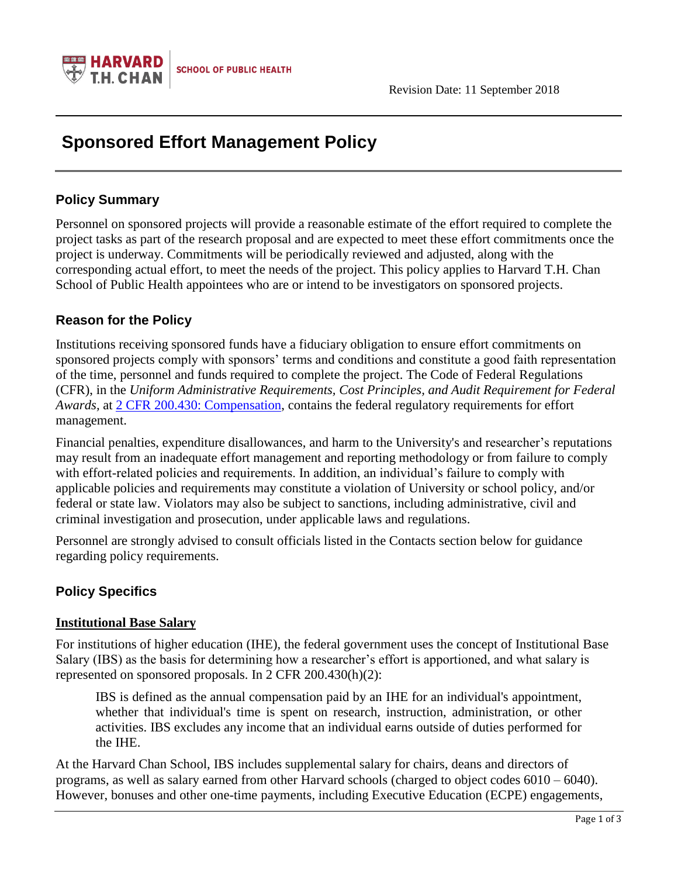

# **Sponsored Effort Management Policy**

## **Policy Summary**

Personnel on sponsored projects will provide a reasonable estimate of the effort required to complete the project tasks as part of the research proposal and are expected to meet these effort commitments once the project is underway. Commitments will be periodically reviewed and adjusted, along with the corresponding actual effort, to meet the needs of the project. This policy applies to Harvard T.H. Chan School of Public Health appointees who are or intend to be investigators on sponsored projects.

# **Reason for the Policy**

Institutions receiving sponsored funds have a fiduciary obligation to ensure effort commitments on sponsored projects comply with sponsors' terms and conditions and constitute a good faith representation of the time, personnel and funds required to complete the project. The Code of Federal Regulations (CFR), in the *Uniform Administrative Requirements, Cost Principles, and Audit Requirement for Federal Awards,* at [2 CFR 200.430: Compensation,](http://www.ecfr.gov/cgi-bin/text-idx?SID=29324750e7ce4bedbd29d9a08c8dfa09&mc=true&node=se2.1.200_1430&rgn=div8) contains the federal regulatory requirements for effort management.

Financial penalties, expenditure disallowances, and harm to the University's and researcher's reputations may result from an inadequate effort management and reporting methodology or from failure to comply with effort-related policies and requirements. In addition, an individual's failure to comply with applicable policies and requirements may constitute a violation of University or school policy, and/or federal or state law. Violators may also be subject to sanctions, including administrative, civil and criminal investigation and prosecution, under applicable laws and regulations.

Personnel are strongly advised to consult officials listed in the Contacts section below for guidance regarding policy requirements.

# **Policy Specifics**

#### **Institutional Base Salary**

For institutions of higher education (IHE), the federal government uses the concept of Institutional Base Salary (IBS) as the basis for determining how a researcher's effort is apportioned, and what salary is represented on sponsored proposals. In 2 CFR 200.430(h)(2):

IBS is defined as the annual compensation paid by an IHE for an individual's appointment, whether that individual's time is spent on research, instruction, administration, or other activities. IBS excludes any income that an individual earns outside of duties performed for the IHE.

At the Harvard Chan School, IBS includes supplemental salary for chairs, deans and directors of programs, as well as salary earned from other Harvard schools (charged to object codes 6010 – 6040). However, bonuses and other one-time payments, including Executive Education (ECPE) engagements,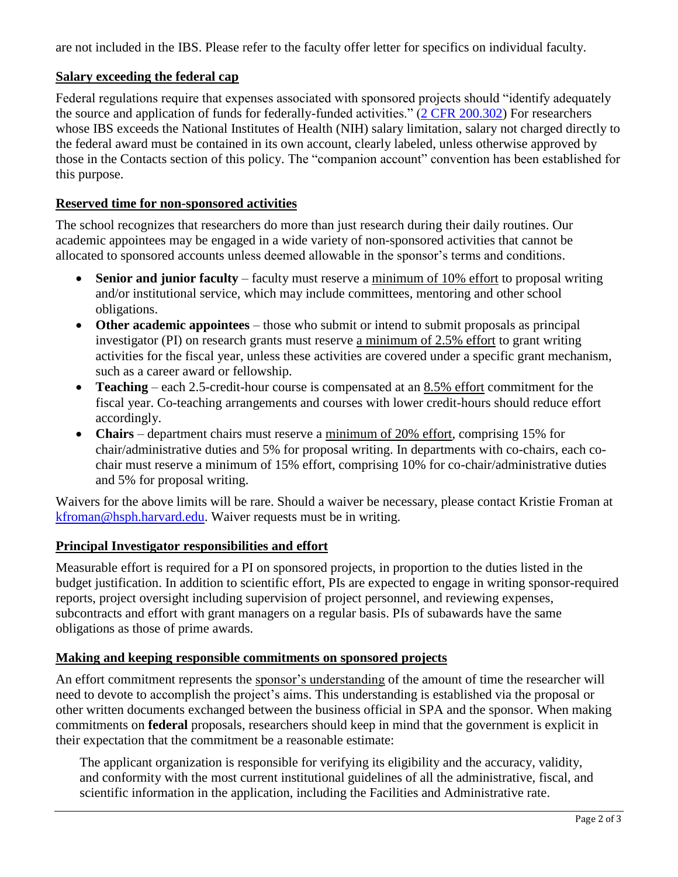are not included in the IBS. Please refer to the faculty offer letter for specifics on individual faculty.

#### **Salary exceeding the federal cap**

Federal regulations require that expenses associated with sponsored projects should "identify adequately the source and application of funds for federally-funded activities." [\(2 CFR 200.302\)](http://www.ecfr.gov/cgi-bin/retrieveECFR?gp=&SID=29324750e7ce4bedbd29d9a08c8dfa09&mc=true&n=pt2.1.200&r=PART&ty=HTML#se2.1.200_1302) For researchers whose IBS exceeds the National Institutes of Health (NIH) salary limitation, salary not charged directly to the federal award must be contained in its own account, clearly labeled, unless otherwise approved by those in the Contacts section of this policy. The "companion account" convention has been established for this purpose.

#### **Reserved time for non-sponsored activities**

The school recognizes that researchers do more than just research during their daily routines. Our academic appointees may be engaged in a wide variety of non-sponsored activities that cannot be allocated to sponsored accounts unless deemed allowable in the sponsor's terms and conditions.

- **Senior and junior faculty** faculty must reserve a minimum of 10% effort to proposal writing and/or institutional service, which may include committees, mentoring and other school obligations.
- **Other academic appointees** those who submit or intend to submit proposals as principal investigator (PI) on research grants must reserve a minimum of 2.5% effort to grant writing activities for the fiscal year, unless these activities are covered under a specific grant mechanism, such as a career award or fellowship.
- **Teaching**  each 2.5-credit-hour course is compensated at an 8.5% effort commitment for the fiscal year. Co-teaching arrangements and courses with lower credit-hours should reduce effort accordingly.
- **Chairs**  department chairs must reserve a minimum of 20% effort, comprising 15% for chair/administrative duties and 5% for proposal writing. In departments with co-chairs, each cochair must reserve a minimum of 15% effort, comprising 10% for co-chair/administrative duties and 5% for proposal writing.

Waivers for the above limits will be rare. Should a waiver be necessary, please contact Kristie Froman at [kfroman@hsph.harvard.edu.](mailto:kfroman@hsph.harvard.edu) Waiver requests must be in writing.

#### **Principal Investigator responsibilities and effort**

Measurable effort is required for a PI on sponsored projects, in proportion to the duties listed in the budget justification. In addition to scientific effort, PIs are expected to engage in writing sponsor-required reports, project oversight including supervision of project personnel, and reviewing expenses, subcontracts and effort with grant managers on a regular basis. PIs of subawards have the same obligations as those of prime awards.

#### **Making and keeping responsible commitments on sponsored projects**

An effort commitment represents the sponsor's understanding of the amount of time the researcher will need to devote to accomplish the project's aims. This understanding is established via the proposal or other written documents exchanged between the business official in SPA and the sponsor. When making commitments on **federal** proposals, researchers should keep in mind that the government is explicit in their expectation that the commitment be a reasonable estimate:

The applicant organization is responsible for verifying its eligibility and the accuracy, validity, and conformity with the most current institutional guidelines of all the administrative, fiscal, and scientific information in the application, including the Facilities and Administrative rate.